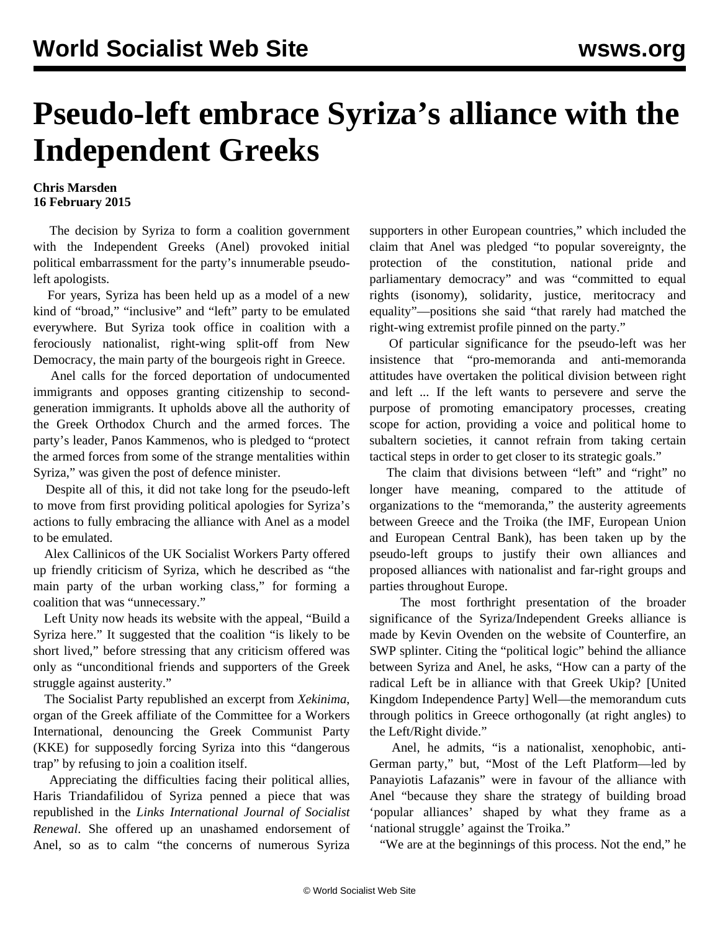## **Pseudo-left embrace Syriza's alliance with the Independent Greeks**

## **Chris Marsden 16 February 2015**

 The decision by Syriza to form a coalition government with the Independent Greeks (Anel) provoked initial political embarrassment for the party's innumerable pseudoleft apologists.

 For years, Syriza has been held up as a model of a new kind of "broad," "inclusive" and "left" party to be emulated everywhere. But Syriza took office in coalition with a ferociously nationalist, right-wing split-off from New Democracy, the main party of the bourgeois right in Greece.

 Anel [calls](/en/articles/2015/01/28/ingr-j28.html) for the forced deportation of undocumented immigrants and opposes granting citizenship to secondgeneration immigrants. It upholds above all the authority of the Greek Orthodox Church and the armed forces. The party's leader, Panos Kammenos, who is pledged to "protect the armed forces from some of the strange mentalities within Syriza," was given the post of defence minister.

 Despite all of this, it did not take long for the pseudo-left to move from first providing political apologies for Syriza's actions to fully embracing the alliance with Anel as a model to be emulated.

 Alex Callinicos of the UK Socialist Workers Party offered up friendly criticism of Syriza, which he described as "the main party of the urban working class," for forming a coalition that was "unnecessary."

 Left Unity now heads its website with the appeal, "Build a Syriza here." It suggested that the coalition "is likely to be short lived," before stressing that any criticism offered was only as "unconditional friends and supporters of the Greek struggle against austerity."

 The Socialist Party republished an excerpt from *Xekinima*, organ of the Greek affiliate of the Committee for a Workers International, denouncing the Greek Communist Party (KKE) for supposedly forcing Syriza into this "dangerous trap" by refusing to join a coalition itself.

 Appreciating the difficulties facing their political allies, Haris Triandafilidou of Syriza penned a piece that was republished in the *Links International Journal of Socialist Renewal*. She offered up an unashamed endorsement of Anel, so as to calm "the concerns of numerous Syriza supporters in other European countries," which included the claim that Anel was pledged "to popular sovereignty, the protection of the constitution, national pride and parliamentary democracy" and was "committed to equal rights (isonomy), solidarity, justice, meritocracy and equality"—positions she said "that rarely had matched the right-wing extremist profile pinned on the party."

 Of particular significance for the pseudo-left was her insistence that "pro-memoranda and anti-memoranda attitudes have overtaken the political division between right and left ... If the left wants to persevere and serve the purpose of promoting emancipatory processes, creating scope for action, providing a voice and political home to subaltern societies, it cannot refrain from taking certain tactical steps in order to get closer to its strategic goals."

 The claim that divisions between "left" and "right" no longer have meaning, compared to the attitude of organizations to the "memoranda," the austerity agreements between Greece and the Troika (the IMF, European Union and European Central Bank), has been taken up by the pseudo-left groups to justify their own alliances and proposed alliances with nationalist and far-right groups and parties throughout Europe.

 The most forthright presentation of the broader significance of the Syriza/Independent Greeks alliance is made by Kevin Ovenden on the website of Counterfire, an SWP splinter. Citing the "political logic" behind the alliance between Syriza and Anel, he asks, "How can a party of the radical Left be in alliance with that Greek Ukip? [United Kingdom Independence Party] Well—the memorandum cuts through politics in Greece orthogonally (at right angles) to the Left/Right divide."

 Anel, he admits, "is a nationalist, xenophobic, anti-German party," but, "Most of the Left Platform—led by Panayiotis Lafazanis" were in favour of the alliance with Anel "because they share the strategy of building broad 'popular alliances' shaped by what they frame as a 'national struggle' against the Troika."

"We are at the beginnings of this process. Not the end," he